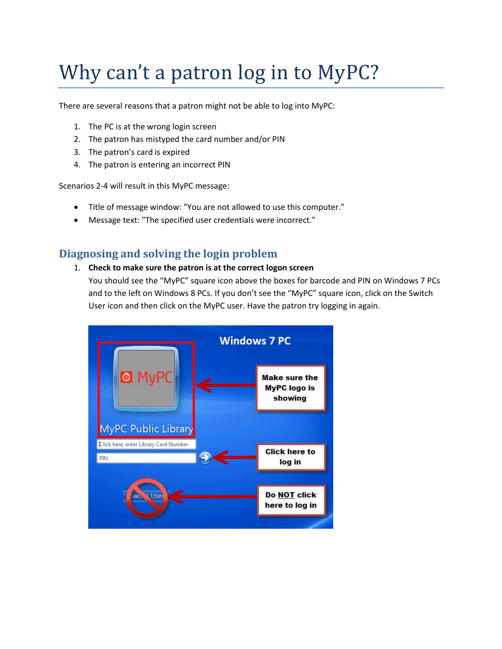## Why can't a patron log in to MyPC?

There are several reasons that a patron might not be able to log into MyPC:

- 1. The PC is at the wrong login screen
- 2. The patron has mistyped the card number and/or PIN
- 3. The patron's card is expired
- 4. The patron is entering an incorrect PIN

Scenarios 2-4 will result in this MyPC message:

- Title of message window: "You are not allowed to use this computer."
- Message text: "The specified user credentials were incorrect."

## **Diagnosing and solving the login problem**

1. **Check to make sure the patron is at the correct logon screen**

You should see the "MyPC" square icon above the boxes for barcode and PIN on Windows 7 PCs and to the left on Windows 8 PCs. If you don't see the "MyPC" square icon, click on the Switch User icon and then click on the MyPC user. Have the patron try logging in again.